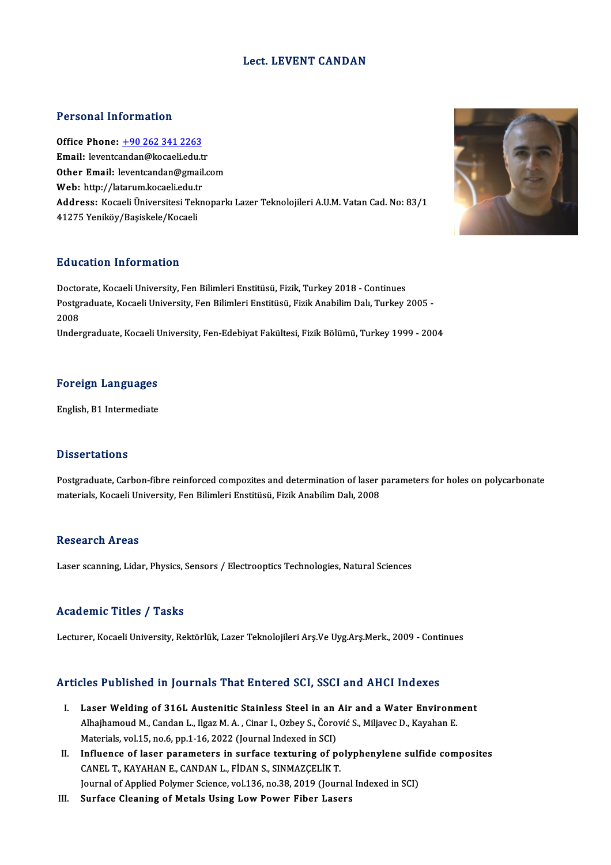### Lect. LEVENT CANDAN

### Personal Information

Personal Information<br>Office Phone: <u>+90 262 341 2263</u><br>Email: leventeardan@kesaeliedu.tr 1 STOSHET MESTMELTS<br>199262 341 2263<br>Email: leventc[andan@kocaeli.edu.t](tel:+90 262 341 2263)r Other Email: leventcandan@gmail.com<br>Web: http://latarum.kocaeli.edu.tr Email: leventcandan@kocaeli.edu.tr Other Email: leventcandan@gmail.com<br>Web: http://latarum.kocaeli.edu.tr<br>Address: Kocaeli Üniversitesi Teknoparkı Lazer Teknolojileri A.U.M. Vatan Cad. No: 83/1<br>41375 Yonikëv/Basiskele/Kosaeli Web: http://latarum.kocaeli.edu.t:<br><mark>Address:</mark> Kocaeli Üniversitesi Tek<br>41275 Yeniköy/Başiskele/Kocaeli 41275 Yeniköy/Başiskele/Kocaeli<br>Education Information

Doctorate, Kocaeli University, Fen Bilimleri Enstitüsü, Fizik, Turkey 2018 - Continues Pu u cutron Tinfor Inderon<br>Doctorate, Kocaeli University, Fen Bilimleri Enstitüsü, Fizik, Turkey 2018 - Continues<br>Postgraduate, Kocaeli University, Fen Bilimleri Enstitüsü, Fizik Anabilim Dalı, Turkey 2005 -Docto<br>Postgi<br>2008<br>Under 2008<br>Undergraduate, Kocaeli University, Fen-Edebiyat Fakültesi, Fizik Bölümü, Turkey 1999 - 2004

## Foreign Languages F<mark>oreign Languages</mark><br>English, B1 Intermediate

English, B1 Intermediate<br>Dissertations

Postgraduate, Carbon-fibre reinforced compozites and determination of laser parameters for holes on polycarbonate materials, Kocaeli University, Fen Bilimleri Enstitüsü, Fizik Anabilim Dalı, 2008

### **Research Areas**

Laser scanning, Lidar, Physics, Sensors / Electrooptics Technologies, Natural Sciences

### Academic Titles / Tasks

Lecturer, Kocaeli University, Rektörlük, Lazer Teknolojileri Arş.Ve Uyg.Arş.Merk., 2009 - Continues

### Articles Published in Journals That Entered SCI, SSCI and AHCI Indexes

- rticles Published in Journals That Entered SCI, SSCI and AHCI Indexes<br>I. Laser Welding of 316L Austenitic Stainless Steel in an Air and a Water Environment<br>Albeihameud M. Cardan L. Haar M. A. Ciner L. Orbey S. Čerević S. M Alba Tubhohou M., Journalis Thue antest out ber, Boor und Thref Thuenest<br>Laser Welding of 316L Austenitic Stainless Steel in an Air and a Water Environn<br>Alhajhamoud M., Candan L., Ilgaz M. A., Cinar I., Ozbey S., Čorović S Alhajhamoud M., Candan L., Ilgaz M. A. , Cinar I., Ozbey S., Čorović S., Miljavec D., Kayahan E.<br>Materials, vol.15, no.6, pp.1-16, 2022 (Journal Indexed in SCI) Alhajhamoud M., Candan L., Ilgaz M. A. , Cinar I., Ozbey S., Čorović S., Miljavec D., Kayahan E.<br>Materials, vol.15, no.6, pp.1-16, 2022 (Journal Indexed in SCI)<br>II. Influence of laser parameters in surface texturing of pol
- Materials, vol.15, no.6, pp.1-16, 2022 (Journal Indexed in SCI)<br>Influence of laser parameters in surface texturing of pc<br>CANEL T., KAYAHAN E., CANDAN L., FİDAN S., SINMAZÇELİK T.<br>Journal of Annlied Polymar Ssiance vol.126, Influence of laser parameters in surface texturing of polyphenylene sulf<br>CANEL T., KAYAHAN E., CANDAN L., FİDAN S., SINMAZÇELİK T.<br>Journal of Applied Polymer Science, vol.136, no.38, 2019 (Journal Indexed in SCI)<br>Surface C CANEL T., KAYAHAN E., CANDAN L., FİDAN S., SINMAZÇELİK T.<br>Journal of Applied Polymer Science, vol.136, no.38, 2019 (Journal Indexed in SCI)<br>III. Surface Cleaning of Metals Using Low Power Fiber Lasers

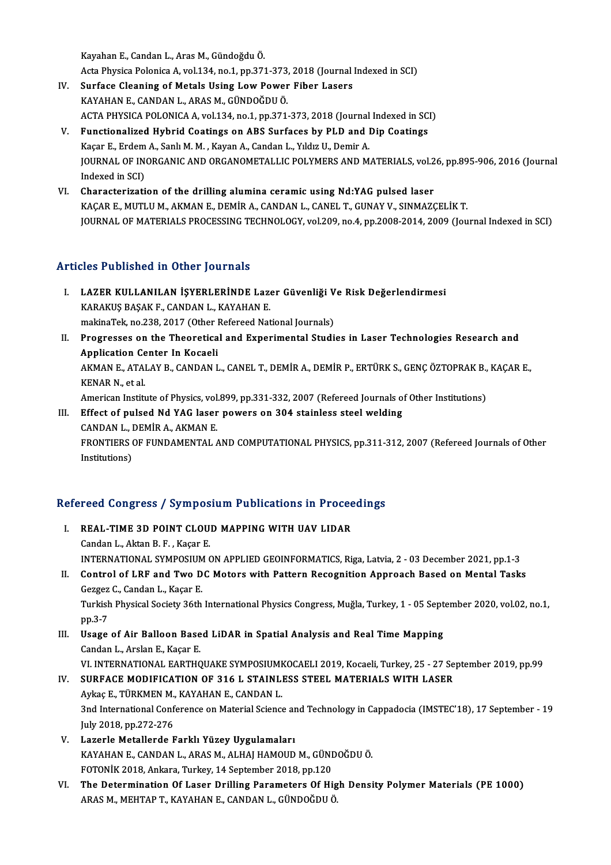KayahanE.,CandanL.,ArasM.,GündoğduÖ.

Acta Physica Polonica A, vol.134, no.1, pp.371-373, 2018 (Journal Indexed in SCI)

- Kayahan E., Candan L., Aras M., Gündoğdu Ö.<br>Acta Physica Polonica A, vol.134, no.1, pp.371-373, 2018 (Journal IV.<br>IV. Surface Cleaning of Metals Using Low Power Fiber Lasers<br>KAYAHAN E. CANDAN L. ARAS M. CÜNDOĞDU Ö. Acta Physica Polonica A, vol.134, no.1, pp.371-373,<br>Surface Cleaning of Metals Using Low Power<br>KAYAHAN E., CANDAN L., ARAS M., GÜNDOĞDU Ö.<br>ACTA PHYSICA POLONICA A, vol.134, no.1, np.371 Surface Cleaning of Metals Using Low Power Fiber Lasers<br>KAYAHAN E., CANDAN L., ARAS M., GÜNDOĞDU Ö.<br>ACTA PHYSICA POLONICA A, vol.134, no.1, pp.371-373, 2018 (Journal Indexed in SCI)<br>Eunstianalized Hybrid Coatings on ABS Su KAYAHAN E., CANDAN L., ARAS M., GÜNDOĞDU Ö.<br>ACTA PHYSICA POLONICA A, vol.134, no.1, pp.371-373, 2018 (Journal Indexed in SC<br>V. Functionalized Hybrid Coatings on ABS Surfaces by PLD and Dip Coatings
- ACTA PHYSICA POLONICA A, vol.134, no.1, pp.371-373, 2018 (Journal<br>Functionalized Hybrid Coatings on ABS Surfaces by PLD and l<br>Kaçar E., Erdem A., Sanlı M. M. , Kayan A., Candan L., Yıldız U., Demir A.<br>JOUPNAL OF INOPCANIC JOURNAL OF INORGANIC AND ORGANOMETALLIC POLYMERS AND MATERIALS, vol.26, pp.895-906, 2016 (Journal Indexed in SCI) Kaçar E., Erdem A., Sanlı M. M. , Kayan A., Candan L., Yıldız U., Demir A. JOURNAL OF INORGANIC AND ORGANOMETALLIC POLYMERS AND MATERIALS, vol.2<br>Indexed in SCI)<br>VI. Characterization of the drilling alumina ceramic using Nd:YAG pulsed laser<br>KAGAR E MITH U.M. AKMANE, DEMIRA, GANDANI, GANEL T. CUNAY
- Indexed in SCI)<br>Characterization of the drilling alumina ceramic using Nd:YAG pulsed laser<br>KAÇAR E., MUTLU M., AKMAN E., DEMİR A., CANDAN L., CANEL T., GUNAY V., SINMAZÇELİK T.<br>JOUPNAL OE MATERIALS PROCESSING TECHNOLOGY ve KAÇAR E., MUTLU M., AKMAN E., DEMİR A., CANDAN L., CANEL T., GUNAY V., SINMAZÇELİK T.<br>JOURNAL OF MATERIALS PROCESSING TECHNOLOGY, vol.209, no.4, pp.2008-2014, 2009 (Journal Indexed in SCI)

## Articles Published in Other Journals

- rticles Published in Other Journals<br>I. LAZER KULLANILAN İŞYERLERİNDE Lazer Güvenliği Ve Risk Değerlendirmesi<br>KARAKUS RASAKE CANDAN L-KAYAHAN E KES TUSHSHEU IN OTHET JOUTHUIS<br>LAZER KULLANILAN İŞYERLERİNDE Lazı<br>KARAKUŞ BAŞAK F., CANDAN L., KAYAHAN E. LAZER KULLANILAN İŞYERLERİNDE Lazer Güvenliği V<br>KARAKUŞ BAŞAK F., CANDAN L., KAYAHAN E.<br>makinaTek, no.238, 2017 (Other Refereed National Journals)<br>Presussesses on the Theoratisel and Eunerimental Studi KARAKUŞ BAŞAK F., CANDAN L., KAYAHAN E.<br>makinaTek, no.238, 2017 (Other Refereed National Journals)<br>II. Progresses on the Theoretical and Experimental Studies in Laser Technologies Research and<br>Annligation Contor In Kosseli
- makinaTek, no.238, 2017 (Other I<br>Progresses on the Theoretica<br>Application Center In Kocaeli<br>AKMAN E ATALAY B CANDAN L AKMAN E., ATALAY B., CANDAN L., CANEL T., DEMİR A., DEMİR P., ERTÜRK S., GENÇ ÖZTOPRAK B., KAÇAR E.,<br>KENAR N., et al. Application Center In Kocaeli AKMAN E., ATALAY B., CANDAN L., CANEL T., DEMİR A., DEMİR P., ERTÜRK S., GENÇ ÖZTOPRAK B.,<br>KENAR N., et al.<br>American Institute of Physics, vol.899, pp.331-332, 2007 (Refereed Journals of Other Institutions)<br>Effect of pulse KENAR N., et al.<br>American Institute of Physics, vol.899, pp.331-332, 2007 (Refereed Journals on<br>III. Effect of pulsed Nd YAG laser powers on 304 stainless steel welding<br>CANDAN L. DEMIR A. AKMAN E

American Institute of Physics, vol.<br>Effect of pulsed Nd YAG laser<br>CANDAN L., DEMİR A., AKMAN E.<br>EPONTIERS OF EUNDAMENTAL Effect of pulsed Nd YAG laser powers on 304 stainless steel welding<br>CANDAN L., DEMİR A., AKMAN E.<br>FRONTIERS OF FUNDAMENTAL AND COMPUTATIONAL PHYSICS, pp.311-312, 2007 (Refereed Journals of Other<br>Institutions) CANDAN L., I<br>FRONTIERS (<br>Institutions)

# nsututions)<br>Refereed Congress / Symposium Publications in Proceedings

- efereed Congress / Symposium Publications in Procee<br>I. REAL-TIME 3D POINT CLOUD MAPPING WITH UAV LIDAR I. REAL-TIME 3D POINT CLOUD MAPPING WITH UAV LIDAR<br>Candan L., Aktan B. F., Kaçar E. INTERNATIONAL SYMPOSIUMONAPPLIEDGEOINFORMATICS,Riga,Latvia,2 -03December 2021,pp.1-3 Candan L., Aktan B. F. , Kaçar E.<br>INTERNATIONAL SYMPOSIUM ON APPLIED GEOINFORMATICS, Riga, Latvia, 2 - 03 December 2021, pp.1-3<br>II. Control of LRF and Two DC Motors with Pattern Recognition Approach Based on Mental Tasks<br>C INTERNATIONAL SYMPOSIUM<br>Control of LRF and Two D<br>Gezgez C., Candan L., Kaçar E.<br>Turkich Physical Society 26th Control of LRF and Two DC Motors with Pattern Recognition Approach Based on Mental Tasks<br>Gezgez C., Candan L., Kaçar E.<br>Turkish Physical Society 36th International Physics Congress, Muğla, Turkey, 1 - 05 September 2020, vo Gezgez C., Candan L., Kaçar E.<br>Turkish Physical Society 36th International Physics Congress, Muğla, Turkey, 1 - 05 September 2020, vol.02, no.1,<br>pp.3-7 Turkish Physical Society 36th International Physics Congress, Muğla, Turkey, 1 - 05 Sept<br>pp.3-7<br>III. Usage of Air Balloon Based LiDAR in Spatial Analysis and Real Time Mapping<br>Candan L. Arclan E. Kasar E. pp.3-7<br>Us<mark>age of Air Balloon Base</mark><br>Candan L., Arslan E., Kaçar E.<br>VL INTERNATIONAL EAPTUC Candan L., Arslan E., Kaçar E.<br>VI. INTERNATIONAL EARTHQUAKE SYMPOSIUMKOCAELI 2019, Kocaeli, Turkey, 25 - 27 September 2019, pp.99 Candan L., Arslan E., Kaçar E.<br>VI. INTERNATIONAL EARTHQUAKE SYMPOSIUMKOCAELI 2019, Kocaeli, Turkey, 25 - 27 Se<br>IV. SURFACE MODIFICATION OF 316 L STAINLESS STEEL MATERIALS WITH LASER VI. INTERNATIONAL EARTHQUAKE SYMPOSIUME<br>SURFACE MODIFICATION OF 316 L STAINL!<br>Aykaç E., TÜRKMEN M., KAYAHAN E., CANDAN L.<br>2nd International Conference on Material Science Aykaç E., TÜRKMEN M., KAYAHAN E., CANDAN L.<br>3nd International Conference on Material Science and Technology in Cappadocia (IMSTEC'18), 17 September - 19 July2018,pp.272-276 V. Lazerle Metallerde Farklı Yüzey Uygulamaları July 2018, pp.272-276<br>Lazerle Metallerde Farklı Yüzey Uygulamaları<br>KAYAHAN E., CANDAN L., ARAS M., ALHAJ HAMOUD M., GÜNDOĞDU Ö.<br>FOTONİK 2018, Ankara Turkey 14 Santambar 2018, pp.120 Lazerle Metallerde Farklı Yüzey Uygulamaları<br>KAYAHAN E., CANDAN L., ARAS M., ALHAJ HAMOUD M., GÜNI<br>FOTONİK 2018, Ankara, Turkey, 14 September 2018, pp.120<br>The Determination Of Laser Drilling Baramatara Of Hi KAYAHAN E., CANDAN L., ARAS M., ALHAJ HAMOUD M., GÜNDOĞDU Ö.<br>FOTONİK 2018, Ankara, Turkey, 14 September 2018, pp.120<br>VI. The Determination Of Laser Drilling Parameters Of High Density Polymer Materials (PE 1000)<br>ARAS M. ME FOTONİK 2018, Ankara, Turkey, 14 September 2018, pp.120<br><mark>The Determination Of Laser Drilling Parameters Of Hig</mark><br>ARAS M., MEHTAP T., KAYAHAN E., CANDAN L., GÜNDOĞDU Ö.
-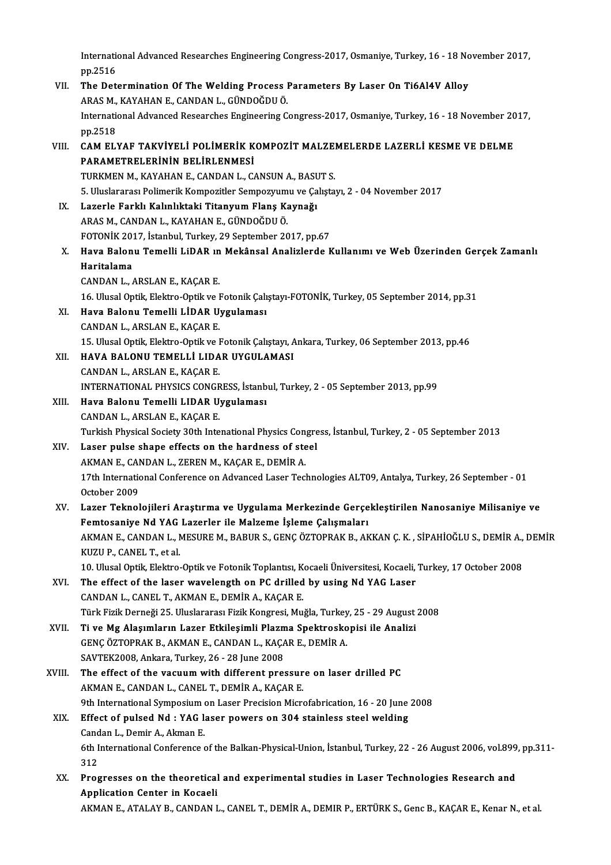International Advanced Researches Engineering Congress-2017, Osmaniye, Turkey, 16 - 18 November 2017,<br>nn <sup>2516</sup> Internation<br>pp.2516<br>The Det International Advanced Researches Engineering Congress-2017, Osmaniye, Turkey, 16 - 18 No<br>PD.2516<br>VII. The Determination Of The Welding Process Parameters By Laser On Ti6Al4V Alloy

- pp.2516<br>VII. The Determination Of The Welding Process Parameters By Laser On Ti6Al4V Alloy International Advanced Researches Engineering Congress-2017, Osmaniye, Turkey, 16 - 18 November 2017, pp. 2518 ARAS M., KAYAHAN E., CANDAN L., GÜNDOĞDU Ö. International Advanced Researches Engineering Congress-2017, Osmaniye, Turkey, 16 - 18 November 20<br>pp.2518<br>VIII. CAM ELYAF TAKVİYELİ POLİMERİK KOMPOZİT MALZEMELERDE LAZERLİ KESME VE DELME<br>papametrei epinin peliplenmesi
- PP.2518<br>CAM ELYAF TAKVİYELİ POLİMERİK K<br>PARAMETRELERİNİN BELİRLENMESİ<br>TURKMEN M. KAYAHAN E. CANDAN L. G CAM ELYAF TAKVİYELİ POLİMERİK KOMPOZİT MALZEI<br>PARAMETRELERİNİN BELİRLENMESİ<br>TURKMEN M., KAYAHAN E., CANDAN L., CANSUN A., BASUT S.<br>5. Uluqlararası Polimarik Kompozitler Sompozununu ve Colista PARAMETRELERİNİN BELİRLENMESİ<br>TURKMEN M., KAYAHAN E., CANDAN L., CANSUN A., BASUT S.<br>5. Uluslararası Polimerik Kompozitler Sempozyumu ve Çalıştayı, 2 - 04 November 2017<br>Lararla Farklı Kolinlıktaki Titanyum Flans Koynağı
	-
- TURKMEN M., KAYAHAN E., CANDAN L., CANSUN A., BASUT S.<br>5. Uluslararası Polimerik Kompozitler Sempozyumu ve Çalıştay<br>IX. Lazerle Farklı Kalınlıktaki Titanyum Flanş Kaynağı<br>ARAS M., CANDAN L., KAYAHAN E., GÜNDOĞDU Ö. 5. Uluslararası Polimerik Kompozitler Sempozyum<br>Lazerle Farklı Kalınlıktaki Titanyum Flanş Ka<br>ARAS M., CANDAN L., KAYAHAN E., GÜNDOĞDU Ö.<br>FOTONİK 2017, İstanbul Turkey, 29 Santambar 20 FOTONİK2017, İstanbul,Turkey,29 September 2017,pp.67
- ARAS M., CANDAN L., KAYAHAN E., GÜNDOĞDU Ö.<br>FOTONİK 2017, İstanbul, Turkey, 29 September 2017, pp.67<br>X. Hava Balonu Temelli LiDAR ın Mekânsal Analizlerde Kullanımı ve Web Üzerinden Gerçek Zamanlı<br>Haritalama FOTONİK 20:<br>Hava Balon<br>Haritalama Hava Balonu Temelli LiDAR ın<br>Haritalama<br>CANDAN L., ARSLAN E., KAÇAR E.<br>16 Hhusal Ontik Flaktra Ontikva I Haritalama<br>CANDAN L., ARSLAN E., KAÇAR E.<br>16. Ulusal Optik, Elektro-Optik ve Fotonik Çalıştayı-FOTONİK, Turkey, 05 September 2014, pp.31<br>Have Palanu Tamelli J.İDAR Uvgulaması
	-
- CANDAN L., ARSLAN E., KAÇAR E.<br>16. Ulusal Optik, Elektro-Optik ve Fotonik Çalı;<br>XI. Hava Balonu Temelli LİDAR Uygulaması<br>CANDAN L., ARSLAN E., KAÇAR E. 16. Ulusal Optik, Elektro-Optik ve I<br>Hava Balonu Temelli LİDAR U<br>CANDAN L., ARSLAN E., KAÇAR E.<br>15. Ulusal Optik, Flaktro Optik ve I Hava Balonu Temelli LİDAR Uygulaması<br>CANDAN L., ARSLAN E., KAÇAR E.<br>15. Ulusal Optik, Elektro-Optik ve Fotonik Çalıştayı, Ankara, Turkey, 06 September 2013, pp.46<br>HAVA BALONU TEMELLİ LIDAR UYÇULAMASI
- XII. HAVA BALONU TEMELLİ LIDAR UYGULAMASI<br>CANDAN L., ARSLAN E., KAÇAR E. 15. Ulusal Optik, Elektro-Optik ve I<br>HAVA BALONU TEMELLİ LIDA<br>CANDAN L., ARSLAN E., KAÇAR E.<br>INTERNATIONAL PHYSICS CONCE HAVA BALONU TEMELLİ LIDAR UYGULAMASI<br>CANDAN L., ARSLAN E., KAÇAR E.<br>INTERNATIONAL PHYSICS CONGRESS, İstanbul, Turkey, 2 - 05 September 2013, pp.99<br>Hava Balanu Tamelli I IDAB Hygulaması
- XIII. Hava Balonu Temelli LIDAR Uygulaması<br>CANDAN L., ARSLAN E., KAÇAR E. INTERNATIONAL PHYSICS CONGR<br>Hava Balonu Temelli LIDAR U<br>CANDAN L., ARSLAN E., KAÇAR E.<br>Turkish Physical Sociaty 20th Into Hava Balonu Temelli LIDAR Uygulaması<br>CANDAN L., ARSLAN E., KAÇAR E.<br>Turkish Physical Society 30th Intenational Physics Congress, İstanbul, Turkey, 2 - 05 September 2013<br>Laser pulse shape effects en the berdness ef steel.
- XIV. Laser pulse shape effects on the hardness of steel<br>AKMAN E., CANDAN L., ZEREN M., KAÇAR E., DEMIR A. Turkish Physical Society 30th Intenational Physics Cong<br>Laser pulse shape effects on the hardness of ste<br>AKMAN E., CANDAN L., ZEREN M., KAÇAR E., DEMİR A.<br>17th International Conference on Advanced Leser Teck Laser pulse shape effects on the hardness of steel<br>AKMAN E., CANDAN L., ZEREN M., KAÇAR E., DEMİR A.<br>17th International Conference on Advanced Laser Technologies ALT09, Antalya, Turkey, 26 September - 01<br>Osteber 2009 AKMAN E., CAN<br>17th Internatio<br>October 2009<br>Lagar Taknal
- October 2009<br>XV. Lazer Teknolojileri Araştırma ve Uygulama Merkezinde Gerçekleştirilen Nanosaniye Milisaniye ve October 2009<br>Lazer Teknolojileri Araştırma ve Uygulama Merkezinde Gerçe<br>Femtosaniye Nd YAG Lazerler ile Malzeme İşleme Çalışmaları<br>AKMANE, CANDANI, MESUREM, RARUR S. CENC ÖZTORAK R. AK Lazer Teknolojileri Araştırma ve Uygulama Merkezinde Gerçekleştirilen Nanosaniye Milisaniye ve<br>Femtosaniye Nd YAG Lazerler ile Malzeme İşleme Çalışmaları<br>AKMAN E., CANDAN L., MESURE M., BABUR S., GENÇ ÖZTOPRAK B., AKKAN Ç. Femtosaniye Nd YAG<br>AKMAN E., CANDAN L., N<br>KUZU P., CANEL T., et al.<br>10. Ulusal Ontik, Elektro AKMAN E., CANDAN L., MESURE M., BABUR S., GENÇ ÖZTOPRAK B., AKKAN Ç. K. , SİPAHİOĞLU S., DEMİR A.,<br>KUZU P., CANEL T., et al.<br>10. Ulusal Optik, Elektro-Optik ve Fotonik Toplantısı, Kocaeli Üniversitesi, Kocaeli, Turkey, 17 KUZU P., CANEL T., et al.<br>10. Ulusal Optik, Elektro-Optik ve Fotonik Toplantısı, Kocaeli Üniversitesi, Kocaeli,<br>XVI. The effect of the laser wavelength on PC drilled by using Nd YAG Laser
- 10. Ulusal Optik, Elektro-Optik ve Fotonik Toplantısı, K<br>The effect of the laser wavelength on PC drilled<br>CANDAN L., CANEL T., AKMAN E., DEMİR A., KAÇAR E.<br>Türk Firik Derneği 25. Uluslaranesı Firik Kongresi Mu The effect of the laser wavelength on PC drilled by using Nd YAG Laser<br>CANDAN L., CANEL T., AKMAN E., DEMİR A., KAÇAR E.<br>Türk Fizik Derneği 25. Uluslararası Fizik Kongresi, Muğla, Turkey, 25 - 29 August 2008<br>Ti ve Mg Alası CANDAN L., CANEL T., AKMAN E., DEMİR A., KAÇAR E.<br>Türk Fizik Derneği 25. Uluslararası Fizik Kongresi, Muğla, Turkey, 25 - 29 August<br>XVII. Ti ve Mg Alaşımların Lazer Etkileşimli Plazma Spektroskopisi ile Analizi<br>CENC ÖZTOPR
- Türk Fizik Derneği 25. Uluslararası Fizik Kongresi, Muğla, Turkey<br>Ti ve Mg Alaşımların Lazer Etkileşimli Plazma Spektrosko<br>GENÇ ÖZTOPRAK B., AKMAN E., CANDAN L., KAÇAR E., DEMİR A.<br>SAVTEK2009, Ankara Turkey, 26, 29 June 20 Ti ve Mg Alaşımların Lazer Etkileşimli Plazma Spektroskopisi ile Analizi GENÇ ÖZTOPRAK B., AKMAN E., CANDAN L., KAÇAR E., DEMİR A.<br>SAVTEK2008, Ankara, Turkey, 26 - 28 June 2008 GENÇ ÖZTOPRAK B., AKMAN E., CANDAN L., KAÇAR E., DEMİR A.<br>SAVTEK2008, Ankara, Turkey, 26 - 28 June 2008<br>XVIII. The effect of the vacuum with different pressure on laser drilled PC
- SAVTEK2008, Ankara, Turkey, 26 28 June 2008<br>The effect of the vacuum with different pressur<br>AKMAN E., CANDAN L., CANEL T., DEMİR A., KAÇAR E.<br>9th International Sumnesium on Leeer Presision Misr The effect of the vacuum with different pressure on laser drilled PC<br>AKMAN E., CANDAN L., CANEL T., DEMIR A., KAÇAR E.<br>9th International Symposium on Laser Precision Microfabrication, 16 - 20 June 2008<br>Effect of nulsed Nd 9th International Symposium on Laser Precision Microfabrication, 16 - 20 June 2008
- AKMAN E., CANDAN L., CANEL T., DEMIR A., KAÇAR E.<br>9th International Symposium on Laser Precision Microfabrication, 16 20 June<br>XIX. Effect of pulsed Nd : YAG laser powers on 304 stainless steel welding<br>Candan L., Demir A. Effect of pulsed Nd : YAG laser powers on 304 stainless steel welding<br>Candan L., Demir A., Akman E.<br>6th International Conference of the Balkan-Physical-Union, İstanbul, Turkey, 22 - 26 August 2006, vol.899, pp.311-<br>212 Cand<br>6th I<br>312<br>Pres 6th International Conference of the Balkan-Physical-Union, İstanbul, Turkey, 22 - 26 August 2006, vol.899<br>312<br>XX. Progresses on the theoretical and experimental studies in Laser Technologies Research and<br>Annligation Conton
- 312<br>XX. Progresses on the theoretical and experimental studies in Laser Technologies Research and<br>Application Center in Kocaeli AKMAN E., ATALAY B., CANDAN L., CANEL T., DEMİR A., DEMIR P., ERTÜRK S., Genc B., KAÇAR E., Kenar N., et al.